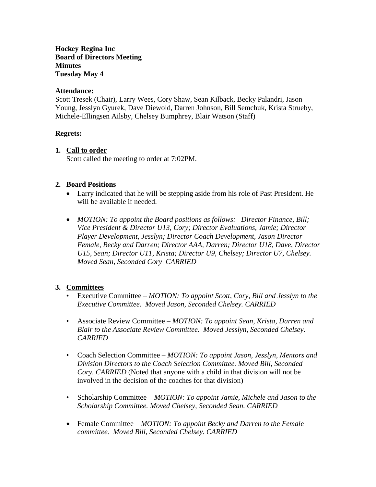**Hockey Regina Inc Board of Directors Meeting Minutes Tuesday May 4**

#### **Attendance:**

Scott Tresek (Chair), Larry Wees, Cory Shaw, Sean Kilback, Becky Palandri, Jason Young, Jesslyn Gyurek, Dave Diewold, Darren Johnson, Bill Semchuk, Krista Strueby, Michele-Ellingsen Ailsby, Chelsey Bumphrey, Blair Watson (Staff)

#### **Regrets:**

#### **1. Call to order**

Scott called the meeting to order at 7:02PM.

### **2. Board Positions**

- Larry indicated that he will be stepping aside from his role of Past President. He will be available if needed.
- *MOTION: To appoint the Board positions as follows: Director Finance, Bill; Vice President & Director U13, Cory; Director Evaluations, Jamie; Director Player Development, Jesslyn; Director Coach Development, Jason Director Female, Becky and Darren; Director AAA, Darren; Director U18, Dave, Director U15, Sean; Director U11, Krista; Director U9, Chelsey; Director U7, Chelsey. Moved Sean, Seconded Cory CARRIED*

#### **3. Committees**

- Executive Committee *MOTION: To appoint Scott, Cory, Bill and Jesslyn to the Executive Committee. Moved Jason, Seconded Chelsey. CARRIED*
- Associate Review Committee *MOTION: To appoint Sean, Krista, Darren and Blair to the Associate Review Committee. Moved Jesslyn, Seconded Chelsey. CARRIED*
- Coach Selection Committee *MOTION: To appoint Jason, Jesslyn, Mentors and Division Directors to the Coach Selection Committee. Moved Bill, Seconded Cory. CARRIED* (Noted that anyone with a child in that division will not be involved in the decision of the coaches for that division)
- Scholarship Committee *MOTION: To appoint Jamie, Michele and Jason to the Scholarship Committee. Moved Chelsey, Seconded Sean. CARRIED*
- Female Committee *MOTION: To appoint Becky and Darren to the Female committee. Moved Bill, Seconded Chelsey. CARRIED*